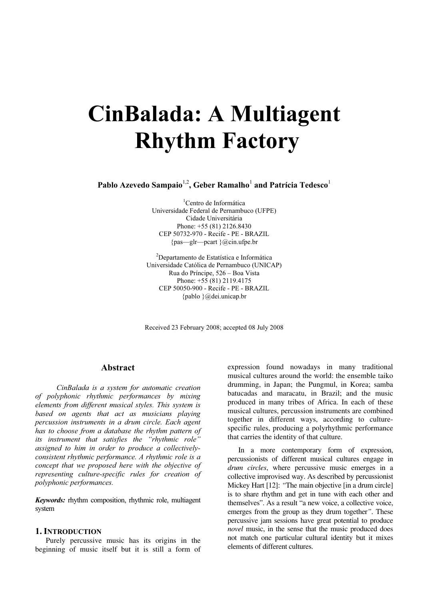# CinBalada: A Multiagent Rhythm Factory

Pablo Azevedo Sampaio<sup>1,2</sup>, Geber Ramalho<sup>1</sup> and Patrícia Tedesco<sup>1</sup>

1 Centro de Informática Universidade Federal de Pernambuco (UFPE) Cidade Universitária Phone: +55 (81) 2126.8430 CEP 50732-970 - Recife - PE - BRAZIL {pas—glr—pcart }@cin.ufpe.br

<sup>2</sup>Departamento de Estatística e Informática Universidade Católica de Pernambuco (UNICAP) Rua do Príncipe, 526 – Boa Vista Phone: +55 (81) 2119.4175 CEP 50050-900 - Recife - PE - BRAZIL {pablo }@dei.unicap.br

Received 23 February 2008; accepted 08 July 2008

#### Abstract

CinBalada is a system for automatic creation of polyphonic rhythmic performances by mixing elements from different musical styles. This system is based on agents that act as musicians playing percussion instruments in a drum circle. Each agent has to choose from a database the rhythm pattern of its instrument that satisfies the "rhythmic role" assigned to him in order to produce a collectivelyconsistent rhythmic performance. A rhythmic role is a concept that we proposed here with the objective of representing culture-specific rules for creation of polyphonic performances.

Keywords: rhythm composition, rhythmic role, multiagent system

#### 1. INTRODUCTION

Purely percussive music has its origins in the beginning of music itself but it is still a form of

expression found nowadays in many traditional musical cultures around the world: the ensemble taiko drumming, in Japan; the Pungmul, in Korea; samba batucadas and maracatu, in Brazil; and the music produced in many tribes of Africa. In each of these musical cultures, percussion instruments are combined together in different ways, according to culturespecific rules, producing a polyrhythmic performance that carries the identity of that culture.

In a more contemporary form of expression, percussionists of different musical cultures engage in drum circles, where percussive music emerges in a collective improvised way. As described by percussionist Mickey Hart [12]: "The main objective [in a drum circle] is to share rhythm and get in tune with each other and themselves". As a result "a new voice, a collective voice, emerges from the group as they drum together . These percussive jam sessions have great potential to produce novel music, in the sense that the music produced does not match one particular cultural identity but it mixes elements of different cultures.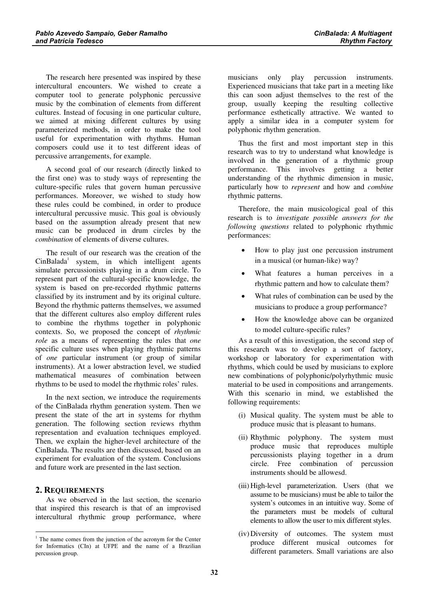The research here presented was inspired by these intercultural encounters. We wished to create a computer tool to generate polyphonic percussive music by the combination of elements from different cultures. Instead of focusing in one particular culture, we aimed at mixing different cultures by using parameterized methods, in order to make the tool useful for experimentation with rhythms. Human composers could use it to test different ideas of percussive arrangements, for example.

A second goal of our research (directly linked to the first one) was to study ways of representing the culture-specific rules that govern human percussive performances. Moreover, we wished to study how these rules could be combined, in order to produce intercultural percussive music. This goal is obviously based on the assumption already present that new music can be produced in drum circles by the combination of elements of diverse cultures.

The result of our research was the creation of the  $CinBalada<sup>1</sup>$  system, in which intelligent agents simulate percussionists playing in a drum circle. To represent part of the cultural-specific knowledge, the system is based on pre-recorded rhythmic patterns classified by its instrument and by its original culture. Beyond the rhythmic patterns themselves, we assumed that the different cultures also employ different rules to combine the rhythms together in polyphonic contexts. So, we proposed the concept of rhythmic role as a means of representing the rules that one specific culture uses when playing rhythmic patterns of one particular instrument (or group of similar instruments). At a lower abstraction level, we studied mathematical measures of combination between rhythms to be used to model the rhythmic roles' rules.

In the next section, we introduce the requirements of the CinBalada rhythm generation system. Then we present the state of the art in systems for rhythm generation. The following section reviews rhythm representation and evaluation techniques employed. Then, we explain the higher-level architecture of the CinBalada. The results are then discussed, based on an experiment for evaluation of the system. Conclusions and future work are presented in the last section.

# 2. REQUIREMENTS

As we observed in the last section, the scenario that inspired this research is that of an improvised intercultural rhythmic group performance, where

musicians only play percussion instruments. Experienced musicians that take part in a meeting like this can soon adjust themselves to the rest of the group, usually keeping the resulting collective performance esthetically attractive. We wanted to apply a similar idea in a computer system for polyphonic rhythm generation.

Thus the first and most important step in this research was to try to understand what knowledge is involved in the generation of a rhythmic group performance. This involves getting a better understanding of the rhythmic dimension in music, particularly how to *represent* and how and *combine* rhythmic patterns.

Therefore, the main musicological goal of this research is to investigate possible answers for the following questions related to polyphonic rhythmic performances:

- • How to play just one percussion instrument in a musical (or human-like) way?
- • What features a human perceives in a rhythmic pattern and how to calculate them?
- • What rules of combination can be used by the musicians to produce a group performance?
- • How the knowledge above can be organized to model culture-specific rules?

As a result of this investigation, the second step of this research was to develop a sort of factory, workshop or laboratory for experimentation with rhythms, which could be used by musicians to explore new combinations of polyphonic/polyrhythmic music material to be used in compositions and arrangements. With this scenario in mind, we established the following requirements:

- (i) Musical quality. The system must be able to produce music that is pleasant to humans.
- (ii) Rhythmic polyphony. The system must produce music that reproduces multiple percussionists playing together in a drum circle. Free combination of percussion instruments should be allowesd.
- (iii) High-level parameterization. Users (that we assume to be musicians) must be able to tailor the system's outcomes in an intuitive way. Some of the parameters must be models of cultural elements to allow the user to mix different styles.
- (iv)Diversity of outcomes. The system must produce different musical outcomes for different parameters. Small variations are also

<sup>&</sup>lt;sup>1</sup> The name comes from the junction of the acronym for the Center for Informatics (CIn) at UFPE and the name of a Brazilian percussion group.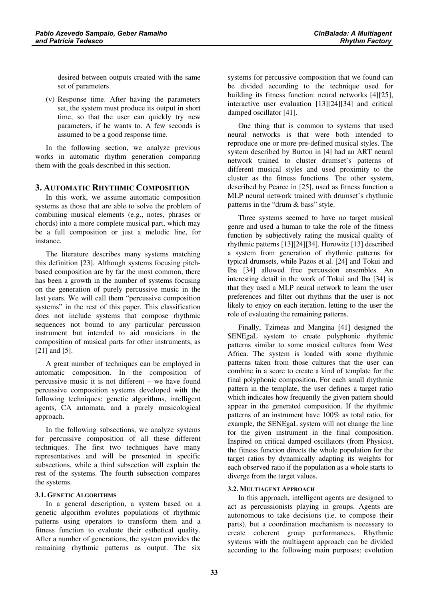desired between outputs created with the same set of parameters.

(v) Response time. After having the parameters set, the system must produce its output in short time, so that the user can quickly try new parameters, if he wants to. A few seconds is assumed to be a good response time.

In the following section, we analyze previous works in automatic rhythm generation comparing them with the goals described in this section.

# 3. AUTOMATIC RHYTHMIC COMPOSITION

In this work, we assume automatic composition systems as those that are able to solve the problem of combining musical elements (e.g., notes, phrases or chords) into a more complete musical part, which may be a full composition or just a melodic line, for instance.

The literature describes many systems matching this definition [23]. Although systems focusing pitchbased composition are by far the most common, there has been a growth in the number of systems focusing on the generation of purely percussive music in the last years. We will call them "percussive composition systems" in the rest of this paper. This classification does not include systems that compose rhythmic sequences not bound to any particular percussion instrument but intended to aid musicians in the composition of musical parts for other instruments, as [21] and [5].

A great number of techniques can be employed in automatic composition. In the composition of percussive music it is not different – we have found percussive composition systems developed with the following techniques: genetic algorithms, intelligent agents, CA automata, and a purely musicological approach.

In the following subsections, we analyze systems for percussive composition of all these different techniques. The first two techniques have many representatives and will be presented in specific subsections, while a third subsection will explain the rest of the systems. The fourth subsection compares the systems.

#### 3.1. GENETIC ALGORITHMS

In a general description, a system based on a genetic algorithm evolutes populations of rhythmic patterns using operators to transform them and a fitness function to evaluate their esthetical quality. After a number of generations, the system provides the remaining rhythmic patterns as output. The six

systems for percussive composition that we found can be divided according to the technique used for building its fitness function: neural networks [4][25], interactive user evaluation [13][24][34] and critical damped oscillator [41].

One thing that is common to systems that used neural networks is that were both intended to reproduce one or more pre-defined musical styles. The system described by Burton in [4] had an ART neural network trained to cluster drumset's patterns of different musical styles and used proximity to the cluster as the fitness functions. The other system, described by Pearce in [25], used as fitness function a MLP neural network trained with drumset's rhythmic patterns in the "drum & bass" style.

Three systems seemed to have no target musical genre and used a human to take the role of the fitness function by subjectively rating the musical quality of rhythmic patterns [13][24][34]. Horowitz [13] described a system from generation of rhythmic patterns for typical drumsets, while Pazos et al. [24] and Tokui and Iba [34] allowed free percussion ensembles. An interesting detail in the work of Tokui and Iba [34] is that they used a MLP neural network to learn the user preferences and filter out rhythms that the user is not likely to enjoy on each iteration, letting to the user the role of evaluating the remaining patterns.

Finally, Tzimeas and Mangina [41] designed the SENEgaL system to create polyphonic rhythmic patterns similar to some musical cultures from West Africa. The system is loaded with some rhythmic patterns taken from those cultures that the user can combine in a score to create a kind of template for the final polyphonic composition. For each small rhythmic pattern in the template, the user defines a target ratio which indicates how frequently the given pattern should appear in the generated composition. If the rhythmic patterns of an instrument have 100% as total ratio, for example, the SENEgaL system will not change the line for the given instrument in the final composition. Inspired on critical damped oscillators (from Physics), the fitness function directs the whole population for the target ratios by dynamically adapting its weights for each observed ratio if the population as a whole starts to diverge from the target values.

#### 3.2. MULTIAGENT APPROACH

In this approach, intelligent agents are designed to act as percussionists playing in groups. Agents are autonomous to take decisions (i.e. to compose their parts), but a coordination mechanism is necessary to create coherent group performances. Rhythmic systems with the multiagent approach can be divided according to the following main purposes: evolution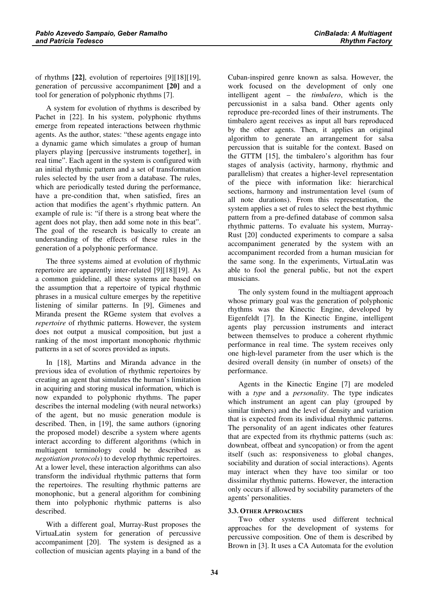of rhythms  $[22]$ , evolution of repertoires  $[9][18][19]$ , generation of percussive accompaniment [20] and a tool for generation of polyphonic rhythms [7].

A system for evolution of rhythms is described by Pachet in [22]. In his system, polyphonic rhythms emerge from repeated interactions between rhythmic agents. As the author, states: "these agents engage into a dynamic game which simulates a group of human players playing [percussive instruments together], in real time". Each agent in the system is configured with an initial rhythmic pattern and a set of transformation rules selected by the user from a database. The rules, which are periodically tested during the performance, have a pre-condition that, when satisfied, fires an action that modifies the agent's rhythmic pattern. An example of rule is: "if there is a strong beat where the agent does not play, then add some note in this beat". The goal of the research is basically to create an understanding of the effects of these rules in the generation of a polyphonic performance.

The three systems aimed at evolution of rhythmic repertoire are apparently inter-related [9][18][19]. As a common guideline, all these systems are based on the assumption that a repertoire of typical rhythmic phrases in a musical culture emerges by the repetitive listening of similar patterns. In [9], Gimenes and Miranda present the RGeme system that evolves a repertoire of rhythmic patterns. However, the system does not output a musical composition, but just a ranking of the most important monophonic rhythmic patterns in a set of scores provided as inputs.

In [18], Martins and Miranda advance in the previous idea of evolution of rhythmic repertoires by creating an agent that simulates the human's limitation in acquiring and storing musical information, which is now expanded to polyphonic rhythms. The paper describes the internal modeling (with neural networks) of the agent, but no music generation module is described. Then, in [19], the same authors (ignoring the proposed model) describe a system where agents interact according to different algorithms (which in multiagent terminology could be described as negotiation protocols) to develop rhythmic repertoires. At a lower level, these interaction algorithms can also transform the individual rhythmic patterns that form the repertoires. The resulting rhythmic patterns are monophonic, but a general algorithm for combining them into polyphonic rhythmic patterns is also described.

With a different goal, Murray-Rust proposes the VirtuaLatin system for generation of percussive accompaniment [20]. The system is designed as a collection of musician agents playing in a band of the

Cuban-inspired genre known as salsa. However, the work focused on the development of only one intelligent agent – the *timbalero*, which is the percussionist in a salsa band. Other agents only reproduce pre-recorded lines of their instruments. The timbalero agent receives as input all bars reproduced by the other agents. Then, it applies an original algorithm to generate an arrangement for salsa percussion that is suitable for the context. Based on the GTTM [15], the timbalero's algorithm has four stages of analysis (activity, harmony, rhythmic and parallelism) that creates a higher-level representation of the piece with information like: hierarchical sections, harmony and instrumentation level (sum of all note durations). From this representation, the system applies a set of rules to select the best rhythmic pattern from a pre-defined database of common salsa rhythmic patterns. To evaluate his system, Murray-Rust [20] conducted experiments to compare a salsa accompaniment generated by the system with an accompaniment recorded from a human musician for the same song. In the experiments, VirtuaLatin was able to fool the general public, but not the expert musicians.

The only system found in the multiagent approach whose primary goal was the generation of polyphonic rhythms was the Kinectic Engine, developed by Eigenfeldt [7]. In the Kinectic Engine, intelligent agents play percussion instruments and interact between themselves to produce a coherent rhythmic performance in real time. The system receives only one high-level parameter from the user which is the desired overall density (in number of onsets) of the performance.

Agents in the Kinectic Engine [7] are modeled with a type and a personality. The type indicates which instrument an agent can play (grouped by similar timbers) and the level of density and variation that is expected from its individual rhythmic patterns. The personality of an agent indicates other features that are expected from its rhythmic patterns (such as: downbeat, offbeat and syncopation) or from the agent itself (such as: responsiveness to global changes, sociability and duration of social interactions). Agents may interact when they have too similar or too dissimilar rhythmic patterns. However, the interaction only occurs if allowed by sociability parameters of the agents' personalities.

# 3.3. OTHER APPROACHES

Two other systems used different technical approaches for the development of systems for percussive composition. One of them is described by Brown in [3]. It uses a CA Automata for the evolution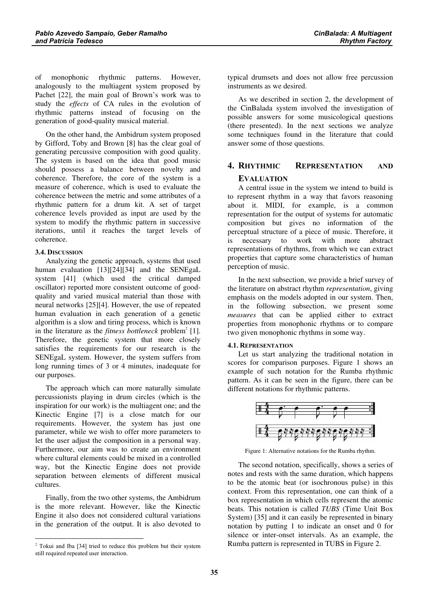of monophonic rhythmic patterns. However, analogously to the multiagent system proposed by Pachet [22], the main goal of Brown's work was to study the effects of CA rules in the evolution of rhythmic patterns instead of focusing on the generation of good-quality musical material.

On the other hand, the Ambidrum system proposed by Gifford, Toby and Brown [8] has the clear goal of generating percussive composition with good quality. The system is based on the idea that good music should possess a balance between novelty and coherence. Therefore, the core of the system is a measure of coherence, which is used to evaluate the coherence between the metric and some attributes of a rhythmic pattern for a drum kit. A set of target coherence levels provided as input are used by the system to modify the rhythmic pattern in successive iterations, until it reaches the target levels of coherence.

#### 3.4. DISCUSSION

Analyzing the genetic approach, systems that used human evaluation [13][24][34] and the SENEgaL system [41] (which used the critical damped oscillator) reported more consistent outcome of goodquality and varied musical material than those with neural networks [25][4]. However, the use of repeated human evaluation in each generation of a genetic algorithm is a slow and tiring process, which is known in the literature as the *fitness bottleneck* problem<sup>2</sup> [1]. Therefore, the genetic system that more closely satisfies the requirements for our research is the SENEgaL system. However, the system suffers from long running times of 3 or 4 minutes, inadequate for our purposes.

The approach which can more naturally simulate percussionists playing in drum circles (which is the inspiration for our work) is the multiagent one; and the Kinectic Engine [7] is a close match for our requirements. However, the system has just one parameter, while we wish to offer more parameters to let the user adjust the composition in a personal way. Furthermore, our aim was to create an environment where cultural elements could be mixed in a controlled way, but the Kinectic Engine does not provide separation between elements of different musical cultures.

Finally, from the two other systems, the Ambidrum is the more relevant. However, like the Kinectic Engine it also does not considered cultural variations in the generation of the output. It is also devoted to

typical drumsets and does not allow free percussion instruments as we desired.

As we described in section 2, the development of the CinBalada system involved the investigation of possible answers for some musicological questions (there presented). In the next sections we analyze some techniques found in the literature that could answer some of those questions.

# 4. RHYTHMIC REPRESENTATION AND **EVALUATION**

A central issue in the system we intend to build is to represent rhythm in a way that favors reasoning about it. MIDI, for example, is a common representation for the output of systems for automatic composition but gives no information of the perceptual structure of a piece of music. Therefore, it is necessary to work with more abstract representations of rhythms, from which we can extract properties that capture some characteristics of human perception of music.

In the next subsection, we provide a brief survey of the literature on abstract rhythm representation, giving emphasis on the models adopted in our system. Then, in the following subsection, we present some measures that can be applied either to extract properties from monophonic rhythms or to compare two given monophonic rhythms in some way.

#### 4.1. REPRESENTATION

Let us start analyzing the traditional notation in scores for comparison purposes. Figure 1 shows an example of such notation for the Rumba rhythmic pattern. As it can be seen in the figure, there can be different notations for rhythmic patterns.



Figure 1: Alternative notations for the Rumba rhythm.

The second notation, specifically, shows a series of notes and rests with the same duration, which happens to be the atomic beat (or isochronous pulse) in this context. From this representation, one can think of a box representation in which cells represent the atomic beats. This notation is called TUBS (Time Unit Box System) [35] and it can easily be represented in binary notation by putting 1 to indicate an onset and 0 for silence or inter-onset intervals. As an example, the Rumba pattern is represented in TUBS in Figure 2.

 $2$  Tokui and Iba [34] tried to reduce this problem but their system still required repeated user interaction.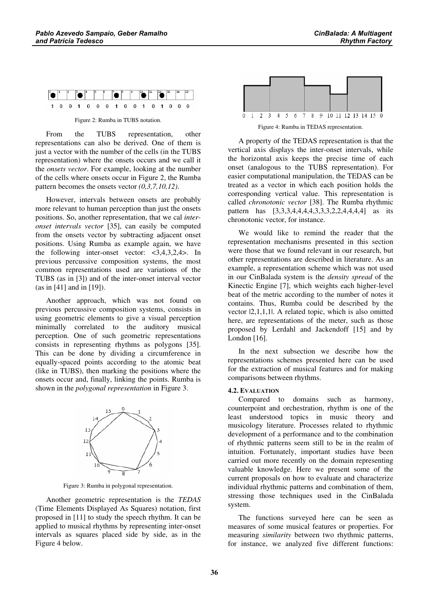

Figure 2: Rumba in TUBS notation.

From the TUBS representation, other representations can also be derived. One of them is just a vector with the number of the cells (in the TUBS representation) where the onsets occurs and we call it the *onsets vector*. For example, looking at the number of the cells where onsets occur in Figure 2, the Rumba pattern becomes the onsets vector  $(0,3,7,10,12)$ .

However, intervals between onsets are probably more relevant to human perception than just the onsets positions. So, another representation, that we cal interonset intervals vector [35], can easily be computed from the onsets vector by subtracting adjacent onset positions. Using Rumba as example again, we have the following inter-onset vector: <3,4,3,2,4>. In previous percussive composition systems, the most common representations used are variations of the TUBS (as in [3]) and of the inter-onset interval vector (as in [41] and in [19]).

Another approach, which was not found on previous percussive composition systems, consists in using geometric elements to give a visual perception minimally correlated to the auditory musical perception. One of such geometric representations consists in representing rhythms as polygons [35]. This can be done by dividing a circumference in equally-spaced points according to the atomic beat (like in TUBS), then marking the positions where the onsets occur and, finally, linking the points. Rumba is shown in the *polygonal representation* in Figure 3.



Figure 3: Rumba in polygonal representation.

Another geometric representation is the  $TEDAS$ (Time Elements Displayed As Squares) notation, first proposed in [11] to study the speech rhythm. It can be applied to musical rhythms by representing inter-onset intervals as squares placed side by side, as in the Figure 4 below.



Figure 4: Rumba in TEDAS representation.

A property of the TEDAS representation is that the vertical axis displays the inter-onset intervals, while the horizontal axis keeps the precise time of each onset (analogous to the TUBS representation). For easier computational manipulation, the TEDAS can be treated as a vector in which each position holds the corresponding vertical value. This representation is called *chronotonic vector* [38]. The Rumba rhythmic pattern has [3,3,3,4,4,4,4,3,3,3,2,2,4,4,4,4] as its chronotonic vector, for instance.

We would like to remind the reader that the representation mechanisms presented in this section were those that we found relevant in our research, but other representations are described in literature. As an example, a representation scheme which was not used in our CinBalada system is the *density spread* of the Kinectic Engine [7], which weights each higher-level beat of the metric according to the number of notes it contains. Thus, Rumba could be described by the vector |2,1,1,1|. A related topic, which is also omitted here, are representations of the meter, such as those proposed by Lerdahl and Jackendoff [15] and by London [16].

In the next subsection we describe how the representations schemes presented here can be used for the extraction of musical features and for making comparisons between rhythms.

# 4.2. EVALUATION

Compared to domains such as harmony, counterpoint and orchestration, rhythm is one of the least understood topics in music theory and musicology literature. Processes related to rhythmic development of a performance and to the combination of rhythmic patterns seem still to be in the realm of intuition. Fortunately, important studies have been carried out more recently on the domain representing valuable knowledge. Here we present some of the current proposals on how to evaluate and characterize individual rhythmic patterns and combination of them, stressing those techniques used in the CinBalada system.

The functions surveyed here can be seen as measures of some musical features or properties. For measuring similarity between two rhythmic patterns, for instance, we analyzed five different functions: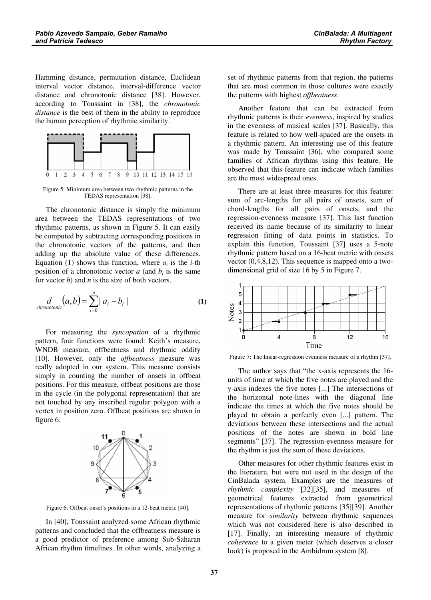Hamming distance, permutation distance, Euclidean interval vector distance, interval-difference vector distance and chronotonic distance [38]. However, according to Toussaint in [38], the *chronotonic* distance is the best of them in the ability to reproduce the human perception of rhythmic similarity.



Figure 5: Minimum area between two rhythmic patterns in the TEDAS representation [38].

The chronotonic distance is simply the minimum area between the TEDAS representations of two rhythmic patterns, as shown in Figure 5. It can easily be computed by subtracting corresponding positions in the chronotonic vectors of the patterns, and then adding up the absolute value of these differences. Equation (1) shows this function, where  $a_i$  is the *i*-th position of a chronotonic vector  $a$  (and  $b_i$  is the same for vector  $b$ ) and  $n$  is the size of both vectors.

$$
\underset{chromotonic}{d}(a,b) = \sum_{i=0}^{n} |a_i - b_i|
$$
 (1)

For measuring the *syncopation* of a rhythmic pattern, four functions were found: Keith's measure, WNDB measure, offbeatness and rhythmic oddity [10]. However, only the *offbeatness* measure was really adopted in our system. This measure consists simply in counting the number of onsets in offbeat positions. For this measure, offbeat positions are those in the cycle (in the polygonal representation) that are not touched by any inscribed regular polygon with a vertex in position zero. Offbeat positions are shown in figure 6.



Figure 6: Offbeat onset's positions in a 12-beat metric [40].

In [40], Toussaint analyzed some African rhythmic patterns and concluded that the offbeatness measure is a good predictor of preference among Sub-Saharan African rhythm timelines. In other words, analyzing a

set of rhythmic patterns from that region, the patterns that are most common in those cultures were exactly the patterns with highest offbeatness.

Another feature that can be extracted from rhythmic patterns is their evenness, inspired by studies in the evenness of musical scales [37]. Basically, this feature is related to how well-spaced are the onsets in a rhythmic pattern. An interesting use of this feature was made by Toussaint [36], who compared some families of African rhythms using this feature. He observed that this feature can indicate which families are the most widespread ones.

There are at least three measures for this feature: sum of arc-lengths for all pairs of onsets, sum of chord-lengths for all pairs of onsets, and the regression-evenness measure [37]. This last function received its name because of its similarity to linear regression fitting of data points in statistics. To explain this function, Toussaint [37] uses a 5-note rhythmic pattern based on a 16-beat metric with onsets vector (0,4,8,12). This sequence is mapped onto a twodimensional grid of size 16 by 5 in Figure 7.



Figure 7: The linear-regression evenness measure of a rhythm [37].

The author says that "the x-axis represents the 16 units of time at which the five notes are played and the y-axis indexes the five notes [...] The intersections of the horizontal note-lines with the diagonal line indicate the times at which the five notes should be played to obtain a perfectly even [...] pattern. The deviations between these intersections and the actual positions of the notes are shown in bold line segments" [37]. The regression-evenness measure for the rhythm is just the sum of these deviations.

Other measures for other rhythmic features exist in the literature, but were not used in the design of the CinBalada system. Examples are the measures of rhythmic complexity [32][35], and measures of geometrical features extracted from geometrical representations of rhythmic patterns [35][39]. Another measure for *similarity* between rhythmic sequences which was not considered here is also described in [17]. Finally, an interesting measure of rhythmic coherence to a given meter (which deserves a closer look) is proposed in the Ambidrum system [8].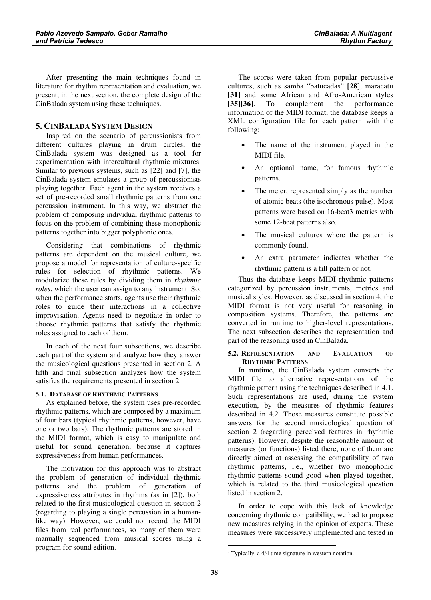After presenting the main techniques found in literature for rhythm representation and evaluation, we present, in the next section, the complete design of the CinBalada system using these techniques.

# 5. CINBALADA SYSTEM DESIGN

Inspired on the scenario of percussionists from different cultures playing in drum circles, the CinBalada system was designed as a tool for experimentation with intercultural rhythmic mixtures. Similar to previous systems, such as [22] and [7], the CinBalada system emulates a group of percussionists playing together. Each agent in the system receives a set of pre-recorded small rhythmic patterns from one percussion instrument. In this way, we abstract the problem of composing individual rhythmic patterns to focus on the problem of combining these monophonic patterns together into bigger polyphonic ones.

Considering that combinations of rhythmic patterns are dependent on the musical culture, we propose a model for representation of culture-specific rules for selection of rhythmic patterns. We modularize these rules by dividing them in *rhythmic* roles, which the user can assign to any instrument. So, when the performance starts, agents use their rhythmic roles to guide their interactions in a collective improvisation. Agents need to negotiate in order to choose rhythmic patterns that satisfy the rhythmic roles assigned to each of them.

In each of the next four subsections, we describe each part of the system and analyze how they answer the musicological questions presented in section 2. A fifth and final subsection analyzes how the system satisfies the requirements presented in section 2.

# 5.1. DATABASE OF RHYTHMIC PATTERNS

As explained before, the system uses pre-recorded rhythmic patterns, which are composed by a maximum of four bars (typical rhythmic patterns, however, have one or two bars). The rhythmic patterns are stored in the MIDI format, which is easy to manipulate and useful for sound generation, because it captures expressiveness from human performances.

The motivation for this approach was to abstract the problem of generation of individual rhythmic patterns and the problem of generation of expressiveness attributes in rhythms (as in [2]), both related to the first musicological question in section 2 (regarding to playing a single percussion in a humanlike way). However, we could not record the MIDI files from real performances, so many of them were manually sequenced from musical scores using a program for sound edition.

The scores were taken from popular percussive cultures, such as samba "batucadas" [28], maracatu [31] and some African and Afro-American styles [35][36 . To complement the performance information of the MIDI format, the database keeps a XML configuration file for each pattern with the following:

- • The name of the instrument played in the MIDI file.
- • An optional name, for famous rhythmic patterns.
- • The meter, represented simply as the number of atomic beats (the isochronous pulse). Most patterns were based on 16-beat3 metrics with some 12-beat patterns also.
- • The musical cultures where the pattern is commonly found.
- • An extra parameter indicates whether the rhythmic pattern is a fill pattern or not.

Thus the database keeps MIDI rhythmic patterns categorized by percussion instruments, metrics and musical styles. However, as discussed in section 4, the MIDI format is not very useful for reasoning in composition systems. Therefore, the patterns are converted in runtime to higher-level representations. The next subsection describes the representation and part of the reasoning used in CinBalada.

#### 5.2. REPRESENTATION AND EVALUATION OF RHYTHMIC PATTERNS

In runtime, the CinBalada system converts the MIDI file to alternative representations of the rhythmic pattern using the techniques described in 4.1. Such representations are used, during the system execution, by the measures of rhythmic features described in 4.2. Those measures constitute possible answers for the second musicological question of section 2 (regarding perceived features in rhythmic patterns). However, despite the reasonable amount of measures (or functions) listed there, none of them are directly aimed at assessing the compatibility of two rhythmic patterns, i.e., whether two monophonic rhythmic patterns sound good when played together, which is related to the third musicological question listed in section 2.

In order to cope with this lack of knowledge concerning rhythmic compatibility, we had to propose new measures relying in the opinion of experts. These measures were successively implemented and tested in

<sup>&</sup>lt;sup>3</sup> Typically, a 4/4 time signature in western notation.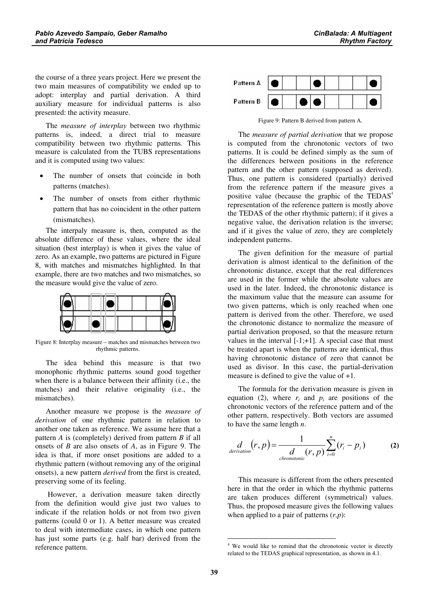The measure of interplay between two rhythmic patterns is, indeed, a direct trial to measure compatibility between two rhythmic patterns. This measure is calculated from the TUBS representations and it is computed using two values:

- • The number of onsets that coincide in both patterns (matches).
- • The number of onsets from either rhythmic pattern that has no coincident in the other pattern (mismatches).

The interpaly measure is, then, computed as the absolute difference of these values, where the ideal situation (best interplay) is when it gives the value of zero. As an example, two patterns are pictured in Figure 8, with matches and mismatches highlighted. In that example, there are two matches and two mismatches, so the measure would give the value of zero.



Figure 8: Interplay measure – matches and mismatches between two rhythmic patterns.

The idea behind this measure is that two monophonic rhythmic patterns sound good together when there is a balance between their affinity (i.e., the matches) and their relative originality (i.e., the mismatches).

Another measure we propose is the measure of derivation of one rhythmic pattern in relation to another one taken as reference. We assume here that a pattern  $\vec{A}$  is (completely) derived from pattern  $\vec{B}$  if all onsets of  $B$  are also onsets of  $A$ , as in Figure 9. The idea is that, if more onset positions are added to a rhythmic pattern (without removing any of the original onsets), a new pattern *derived* from the first is created, preserving some of its feeling.

 However, a derivation measure taken directly from the definition would give just two values to indicate if the relation holds or not from two given patterns (could 0 or 1). A better measure was created to deal with intermediate cases, in which one pattern has just some parts (e.g. half bar) derived from the reference pattern.



Figure 9: Pattern B derived from pattern A.

The measure of partial derivation that we propose is computed from the chronotonic vectors of two patterns. It is could be defined simply as the sum of the differences between positions in the reference pattern and the other pattern (supposed as derived). Thus, one pattern is considered (partially) derived from the reference pattern if the measure gives a positive value (because the graphic of the  $TEDAS<sup>4</sup>$ representation of the reference pattern is mostly above the TEDAS of the other rhythmic pattern); if it gives a negative value, the derivation relation is the inverse; and if it gives the value of zero, they are completely independent patterns.

The given definition for the measure of partial derivation is almost identical to the definition of the chronotonic distance, except that the real differences are used in the former while the absolute values are used in the later. Indeed, the chronotonic distance is the maximum value that the measure can assume for two given patterns, which is only reached when one pattern is derived from the other. Therefore, we used the chronotonic distance to normalize the measure of partial derivation proposed, so that the measure return values in the interval  $[-1;+1]$ . A special case that must be treated apart is when the patterns are identical, thus having chronotonic distance of zero that cannot be used as divisor. In this case, the partial-derivation measure is defined to give the value of +1.

The formula for the derivation measure is given in equation (2), where  $r_i$  and  $p_i$  are positions of the chronotonic vectors of the reference pattern and of the other pattern, respectively. Both vectors are assumed to have the same length  $n$ .

$$
\frac{d}{\text{derivation}}(r, p) = \frac{1}{\frac{d}{\text{chromotonic}}(r, p)} \sum_{i=0}^{n} (r_i - p_i)
$$
 (2)

This measure is different from the others presented here in that the order in which the rhythmic patterns are taken produces different (symmetrical) values. Thus, the proposed measure gives the following values when applied to a pair of patterns  $(r, p)$ :

<sup>4</sup> We would like to remind that the chronotonic vector is directly related to the TEDAS graphical representation, as shown in 4.1.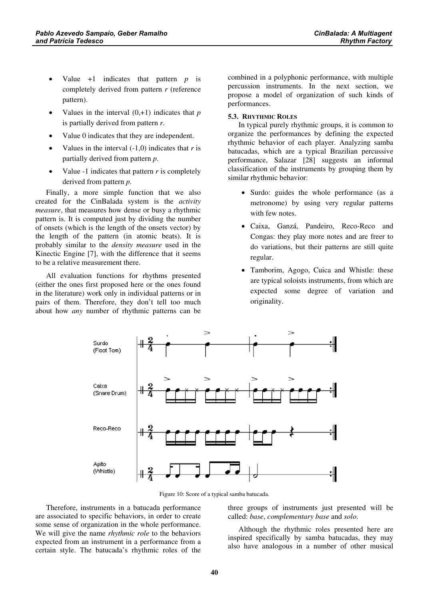- •Value  $+1$  indicates that pattern  $p$  is completely derived from pattern  $r$  (reference pattern).
- •Values in the interval  $(0, +1)$  indicates that p is partially derived from pattern  $r$ .
- •Value 0 indicates that they are independent.
- •Values in the interval  $(-1,0)$  indicates that r is partially derived from pattern  $p$ .
- •Value -1 indicates that pattern  $r$  is completely derived from pattern  $p$ .

Finally, a more simple function that we also created for the CinBalada system is the *activity* measure, that measures how dense or busy a rhythmic pattern is. It is computed just by dividing the number of onsets (which is the length of the onsets vector) by the length of the pattern (in atomic beats). It is probably similar to the *density measure* used in the Kinectic Engine [7], with the difference that it seems to be a relative measurement there.

All evaluation functions for rhythms presented (either the ones first proposed here or the ones found in the literature) work only in individual patterns or in pairs of them. Therefore, they don't tell too much about how *any* number of rhythmic patterns can be

combined in a polyphonic performance, with multiple percussion instruments. In the next section, we propose a model of organization of such kinds of performances.

#### 5.3. RHYTHMIC ROLES

In typical purely rhythmic groups, it is common to organize the performances by defining the expected rhythmic behavior of each player. Analyzing samba batucadas, which are a typical Brazilian percussive performance, Salazar [28] suggests an informal classification of the instruments by grouping them by similar rhythmic behavior:

- Surdo: guides the whole performance (as a metronome) by using very regular patterns with few notes.
- Caixa, Ganzá, Pandeiro, Reco-Reco and Congas: they play more notes and are freer to do variations, but their patterns are still quite regular.
- Tamborim, Agogo, Cuica and Whistle: these are typical soloists instruments, from which are expected some degree of variation and originality.



Figure 10: Score of a typical samba batucada.

Therefore, instruments in a batucada performance are associated to specific behaviors, in order to create some sense of organization in the whole performance. We will give the name *rhythmic role* to the behaviors expected from an instrument in a performance from a certain style. The batucada's rhythmic roles of the

three groups of instruments just presented will be called: base, complementary base and solo.

Although the rhythmic roles presented here are inspired specifically by samba batucadas, they may also have analogous in a number of other musical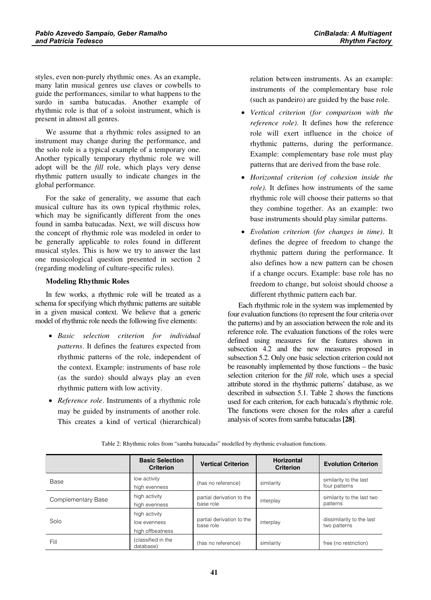styles, even non-purely rhythmic ones. As an example, many latin musical genres use claves or cowbells to guide the performances, similar to what happens to the surdo in samba batucadas. Another example of rhythmic role is that of a soloist instrument, which is present in almost all genres.

We assume that a rhythmic roles assigned to an instrument may change during the performance, and the solo role is a typical example of a temporary one. Another typically temporary rhythmic role we will adopt will be the *fill* role, which plays very dense rhythmic pattern usually to indicate changes in the global performance.

For the sake of generality, we assume that each musical culture has its own typical rhythmic roles, which may be significantly different from the ones found in samba batucadas. Next, we will discuss how the concept of rhythmic role was modeled in order to be generally applicable to roles found in different musical styles. This is how we try to answer the last one musicological question presented in section 2 (regarding modeling of culture-specific rules).

#### **Modeling Rhythmic Roles**

In few works, a rhythmic role will be treated as a schema for specifying which rhythmic patterns are suitable in a given musical context. We believe that a generic model of rhythmic role needs the following five elements:

- Basic selection criterion for individual patterns. It defines the features expected from rhythmic patterns of the role, independent of the context. Example: instruments of base role (as the surdo) should always play an even rhythmic pattern with low activity.
- Reference role. Instruments of a rhythmic role may be guided by instruments of another role. This creates a kind of vertical (hierarchical)

relation between instruments. As an example: instruments of the complementary base role (such as pandeiro) are guided by the base role.

- Vertical criterion (for comparison with the reference role). It defines how the reference role will exert influence in the choice of rhythmic patterns, during the performance. Example: complementary base role must play patterns that are derived from the base role.
- Horizontal criterion (of cohesion inside the role). It defines how instruments of the same rhythmic role will choose their patterns so that they combine together. As an example: two base instruments should play similar patterns.
- Evolution criterion (for changes in time). It defines the degree of freedom to change the rhythmic pattern during the performance. It also defines how a new pattern can be chosen if a change occurs. Example: base role has no freedom to change, but soloist should choose a different rhythmic pattern each bar.

Each rhythmic role in the system was implemented by four evaluation functions (to represent the four criteria over the patterns) and by an association between the role and its reference role. The evaluation functions of the roles were defined using measures for the features shown in subsection 4.2 and the new measures proposed in subsection 5.2. Only one basic selection criterion could not be reasonably implemented by those functions – the basic selection criterion for the *fill* role, which uses a special attribute stored in the rhythmic patterns' database, as we described in subsection 5.1. Table 2 shows the functions used for each criterion, for each batucada's rhythmic role. The functions were chosen for the roles after a careful analysis of scores from samba batucadas [28].

|                    | <b>Basic Selection</b><br><b>Criterion</b>        | <b>Vertical Criterion</b>              | <b>Horizontal</b><br><b>Criterion</b> | <b>Evolution Criterion</b>                |
|--------------------|---------------------------------------------------|----------------------------------------|---------------------------------------|-------------------------------------------|
| Base               | low activity<br>high evenness                     | (has no reference)                     | similarity                            | similarity to the last<br>four patterns   |
| Complementary Base | high activity<br>high evenness                    | partial derivation to the<br>base role | interplay                             | similarity to the last two<br>patterns    |
| Solo               | high activity<br>low evenness<br>high offbeatness | partial derivation to the<br>base role | interplay                             | dissimilarity to the last<br>two patterns |
| Fill               | (classified in the<br>database)                   | (has no reference)                     | similarity                            | free (no restriction)                     |

Table 2: Rhythmic roles from "samba batucadas" modelled by rhythmic evaluation functions.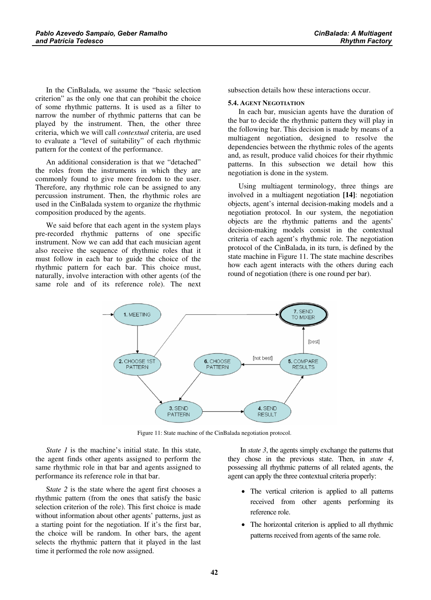In the CinBalada, we assume the "basic selection criterion" as the only one that can prohibit the choice of some rhythmic patterns. It is used as a filter to narrow the number of rhythmic patterns that can be played by the instrument. Then, the other three criteria, which we will call contextual criteria, are used to evaluate a "level of suitability" of each rhythmic pattern for the context of the performance.

An additional consideration is that we "detached" the roles from the instruments in which they are commonly found to give more freedom to the user. Therefore, any rhythmic role can be assigned to any percussion instrument. Then, the rhythmic roles are used in the CinBalada system to organize the rhythmic composition produced by the agents.

We said before that each agent in the system plays pre-recorded rhythmic patterns of one specific instrument. Now we can add that each musician agent also receive the sequence of rhythmic roles that it must follow in each bar to guide the choice of the rhythmic pattern for each bar. This choice must, naturally, involve interaction with other agents (of the same role and of its reference role). The next subsection details how these interactions occur.

#### 5.4. AGENT NEGOTIATION

In each bar, musician agents have the duration of the bar to decide the rhythmic pattern they will play in the following bar. This decision is made by means of a multiagent negotiation, designed to resolve the dependencies between the rhythmic roles of the agents and, as result, produce valid choices for their rhythmic patterns. In this subsection we detail how this negotiation is done in the system.

Using multiagent terminology, three things are involved in a multiagent negotiation [14]: negotiation objects, agent's internal decision-making models and a negotiation protocol. In our system, the negotiation objects are the rhythmic patterns and the agents' decision-making models consist in the contextual criteria of each agent's rhythmic role. The negotiation protocol of the CinBalada, in its turn, is defined by the state machine in Figure 11. The state machine describes how each agent interacts with the others during each round of negotiation (there is one round per bar).



Figure 11: State machine of the CinBalada negotiation protocol.

State  $1$  is the machine's initial state. In this state, the agent finds other agents assigned to perform the same rhythmic role in that bar and agents assigned to performance its reference role in that bar.

State 2 is the state where the agent first chooses a rhythmic pattern (from the ones that satisfy the basic selection criterion of the role). This first choice is made without information about other agents' patterns, just as a starting point for the negotiation. If it's the first bar, the choice will be random. In other bars, the agent selects the rhythmic pattern that it played in the last time it performed the role now assigned.

In  $state 3$ , the agents simply exchange the patterns that they chose in the previous state. Then, in  $state$   $4$ , possessing all rhythmic patterns of all related agents, the agent can apply the three contextual criteria properly:

- The vertical criterion is applied to all patterns received from other agents performing its reference role.
- The horizontal criterion is applied to all rhythmic patterns received from agents of the same role.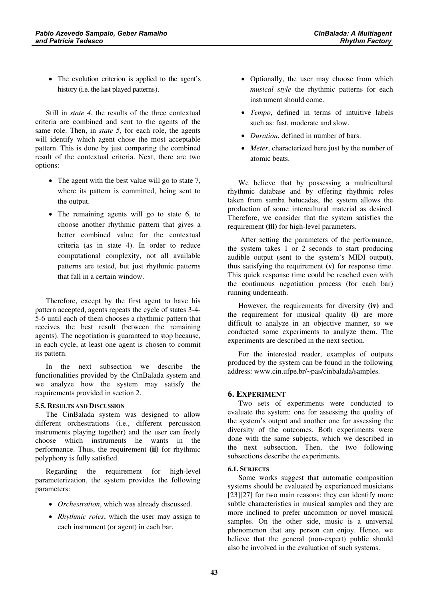• The evolution criterion is applied to the agent's history (i.e. the last played patterns).

Still in *state 4*, the results of the three contextual criteria are combined and sent to the agents of the same role. Then, in *state* 5, for each role, the agents will identify which agent chose the most acceptable pattern. This is done by just comparing the combined result of the contextual criteria. Next, there are two options:

- The agent with the best value will go to state 7, where its pattern is committed, being sent to the output.
- The remaining agents will go to state 6, to choose another rhythmic pattern that gives a better combined value for the contextual criteria (as in state 4). In order to reduce computational complexity, not all available patterns are tested, but just rhythmic patterns that fall in a certain window.

Therefore, except by the first agent to have his pattern accepted, agents repeats the cycle of states 3-4- 5-6 until each of them chooses a rhythmic pattern that receives the best result (between the remaining agents). The negotiation is guaranteed to stop because, in each cycle, at least one agent is chosen to commit its pattern.

In the next subsection we describe the functionalities provided by the CinBalada system and we analyze how the system may satisfy the requirements provided in section 2.

#### 5.5. RESULTS AND DISCUSSION

The CinBalada system was designed to allow different orchestrations (i.e., different percussion instruments playing together) and the user can freely choose which instruments he wants in the performance. Thus, the requirement (ii) for rhythmic polyphony is fully satisfied.

Regarding the requirement for high-level parameterization, the system provides the following parameters:

- Orchestration, which was already discussed.
- *Rhythmic roles*, which the user may assign to each instrument (or agent) in each bar.
- Optionally, the user may choose from which musical style the rhythmic patterns for each instrument should come.
- Tempo, defined in terms of intuitive labels such as: fast, moderate and slow.
- *Duration*, defined in number of bars.
- Meter, characterized here just by the number of atomic beats.

We believe that by possessing a multicultural rhythmic database and by offering rhythmic roles taken from samba batucadas, the system allows the production of some intercultural material as desired. Therefore, we consider that the system satisfies the requirement (iii) for high-level parameters.

 After setting the parameters of the performance, the system takes 1 or 2 seconds to start producing audible output (sent to the system's MIDI output), thus satisfying the requirement  $(v)$  for response time. This quick response time could be reached even with the continuous negotiation process (for each bar) running underneath.

However, the requirements for diversity (iv) and the requirement for musical quality  $(i)$  are more difficult to analyze in an objective manner, so we conducted some experiments to analyze them. The experiments are described in the next section.

For the interested reader, examples of outputs produced by the system can be found in the following address: www.cin.ufpe.br/~pas/cinbalada/samples.

# 6. EXPERIMENT

Two sets of experiments were conducted to evaluate the system: one for assessing the quality of the system's output and another one for assessing the diversity of the outcomes. Both experiments were done with the same subjects, which we described in the next subsection. Then, the two following subsections describe the experiments.

# 6.1. SUBJECTS

Some works suggest that automatic composition systems should be evaluated by experienced musicians [23][27] for two main reasons: they can identify more subtle characteristics in musical samples and they are more inclined to prefer uncommon or novel musical samples. On the other side, music is a universal phenomenon that any person can enjoy. Hence, we believe that the general (non-expert) public should also be involved in the evaluation of such systems.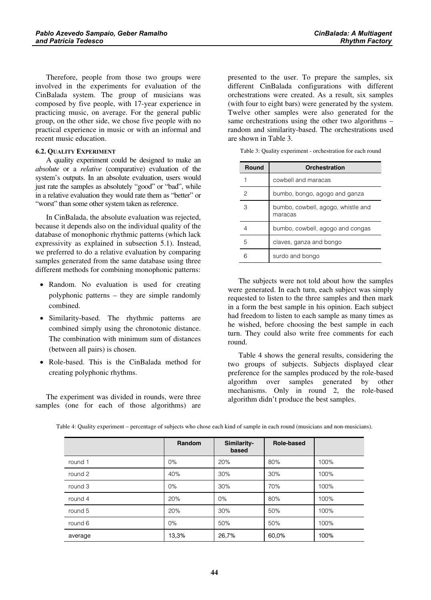Therefore, people from those two groups were involved in the experiments for evaluation of the CinBalada system. The group of musicians was composed by five people, with 17-year experience in practicing music, on average. For the general public group, on the other side, we chose five people with no practical experience in music or with an informal and recent music education.

#### 6.2. QUALITY EXPERIMENT

A quality experiment could be designed to make an absolute or a relative (comparative) evaluation of the system's outputs. In an absolute evaluation, users would just rate the samples as absolutely "good" or "bad", while in a relative evaluation they would rate them as "better" or "worst" than some other system taken as reference.

In CinBalada, the absolute evaluation was rejected, because it depends also on the individual quality of the database of monophonic rhythmic patterns (which lack expressivity as explained in subsection 5.1). Instead, we preferred to do a relative evaluation by comparing samples generated from the same database using three different methods for combining monophonic patterns:

- Random. No evaluation is used for creating polyphonic patterns – they are simple randomly combined.
- Similarity-based. The rhythmic patterns are combined simply using the chronotonic distance. The combination with minimum sum of distances (between all pairs) is chosen.
- Role-based. This is the CinBalada method for creating polyphonic rhythms.

The experiment was divided in rounds, were three samples (one for each of those algorithms) are presented to the user. To prepare the samples, six different CinBalada configurations with different orchestrations were created. As a result, six samples (with four to eight bars) were generated by the system. Twelve other samples were also generated for the same orchestrations using the other two algorithms – random and similarity-based. The orchestrations used are shown in Table 3.

| Round | Orchestration                                 |
|-------|-----------------------------------------------|
|       | cowbell and maracas                           |
| 2     | bumbo, bongo, agogo and ganza                 |
| З     | bumbo, cowbell, agogo, whistle and<br>maracas |
|       | bumbo, cowbell, agogo and congas              |
| 5     | claves, ganza and bongo                       |
|       | surdo and bongo                               |

Table 3: Quality experiment - orchestration for each round

The subjects were not told about how the samples were generated. In each turn, each subject was simply requested to listen to the three samples and then mark in a form the best sample in his opinion. Each subject had freedom to listen to each sample as many times as he wished, before choosing the best sample in each turn. They could also write free comments for each round.

Table 4 shows the general results, considering the two groups of subjects. Subjects displayed clear preference for the samples produced by the role-based algorithm over samples generated by other mechanisms. Only in round 2, the role-based algorithm didn't produce the best samples.

|         | Random | Similarity-<br>based | Role-based |      |
|---------|--------|----------------------|------------|------|
| round 1 | $0\%$  | 20%                  | 80%        | 100% |
| round 2 | 40%    | 30%                  | 30%        | 100% |
| round 3 | $0\%$  | 30%                  | 70%        | 100% |
| round 4 | 20%    | 0%                   | 80%        | 100% |
| round 5 | 20%    | 30%                  | 50%        | 100% |
| round 6 | $0\%$  | 50%                  | 50%        | 100% |
| average | 13,3%  | 26,7%                | 60,0%      | 100% |

Table 4: Quality experiment – percentage of subjects who chose each kind of sample in each round (musicians and non-musicians).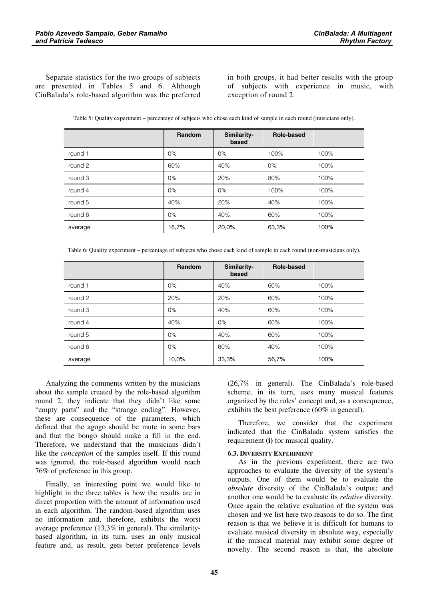Separate statistics for the two groups of subjects are presented in Tables 5 and 6. Although CinBalada's role-based algorithm was the preferred in both groups, it had better results with the group of subjects with experience in music, with exception of round 2.

| Table 5: Quality experiment – percentage of subjects who chose each kind of sample in each round (musicians only). |  |
|--------------------------------------------------------------------------------------------------------------------|--|
|--------------------------------------------------------------------------------------------------------------------|--|

|         | Random | Similarity-<br>based | Role-based |      |
|---------|--------|----------------------|------------|------|
| round 1 | 0%     | 0%                   | 100%       | 100% |
| round 2 | 60%    | 40%                  | 0%         | 100% |
| round 3 | $0\%$  | 20%                  | 80%        | 100% |
| round 4 | 0%     | $0\%$                | 100%       | 100% |
| round 5 | 40%    | 20%                  | 40%        | 100% |
| round 6 | $0\%$  | 40%                  | 60%        | 100% |
| average | 16,7%  | 20,0%                | 63,3%      | 100% |

Table 6: Quality experiment – percentage of subjects who chose each kind of sample in each round (non-musicians only).

|         | Random | Similarity-<br>based | Role-based |      |
|---------|--------|----------------------|------------|------|
| round 1 | $0\%$  | 40%                  | 60%        | 100% |
| round 2 | 20%    | 20%                  | 60%        | 100% |
| round 3 | 0%     | 40%                  | 60%        | 100% |
| round 4 | 40%    | $0\%$                | 60%        | 100% |
| round 5 | 0%     | 40%                  | 60%        | 100% |
| round 6 | $0\%$  | 60%                  | 40%        | 100% |
| average | 10,0%  | 33,3%                | 56,7%      | 100% |

Analyzing the comments written by the musicians about the sample created by the role-based algorithm round 2, they indicate that they didn't like some "empty parts" and the "strange ending". However, these are consequence of the parameters, which defined that the agogo should be mute in some bars and that the bongo should make a fill in the end. Therefore, we understand that the musicians didn't like the *conception* of the samples itself. If this round was ignored, the role-based algorithm would reach 76% of preference in this group.

Finally, an interesting point we would like to highlight in the three tables is how the results are in direct proportion with the amount of information used in each algorithm. The random-based algorithm uses no information and, therefore, exhibits the worst average preference (13,3% in general). The similaritybased algorithm, in its turn, uses an only musical feature and, as result, gets better preference levels

(26,7% in general). The CinBalada's role-based scheme, in its turn, uses many musical features organized by the roles' concept and, as a consequence, exhibits the best preference (60% in general).

Therefore, we consider that the experiment indicated that the CinBalada system satisfies the requirement (i) for musical quality.

#### 6.3. DIVERSITY EXPERIMENT

As in the previous experiment, there are two approaches to evaluate the diversity of the system's outputs. One of them would be to evaluate the absolute diversity of the CinBalada's output; and another one would be to evaluate its *relative* diversity. Once again the relative evaluation of the system was chosen and we list here two reasons to do so. The first reason is that we believe it is difficult for humans to evaluate musical diversity in absolute way, especially if the musical material may exhibit some degree of novelty. The second reason is that, the absolute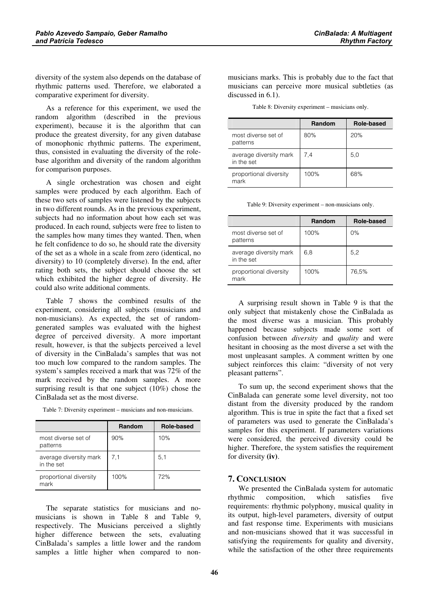diversity of the system also depends on the database of rhythmic patterns used. Therefore, we elaborated a comparative experiment for diversity.

As a reference for this experiment, we used the random algorithm (described in the previous experiment), because it is the algorithm that can produce the greatest diversity, for any given database of monophonic rhythmic patterns. The experiment, thus, consisted in evaluating the diversity of the rolebase algorithm and diversity of the random algorithm for comparison purposes.

A single orchestration was chosen and eight samples were produced by each algorithm. Each of these two sets of samples were listened by the subjects in two different rounds. As in the previous experiment, subjects had no information about how each set was produced. In each round, subjects were free to listen to the samples how many times they wanted. Then, when he felt confidence to do so, he should rate the diversity of the set as a whole in a scale from zero (identical, no diversity) to 10 (completely diverse). In the end, after rating both sets, the subject should choose the set which exhibited the higher degree of diversity. He could also write additional comments.

Table 7 shows the combined results of the experiment, considering all subjects (musicians and non-musicians). As expected, the set of randomgenerated samples was evaluated with the highest degree of perceived diversity. A more important result, however, is that the subjects perceived a level of diversity in the CinBalada's samples that was not too much low compared to the random samples. The system's samples received a mark that was 72% of the mark received by the random samples. A more surprising result is that one subject (10%) chose the CinBalada set as the most diverse.

|                                      | Random | Role-based |
|--------------------------------------|--------|------------|
| most diverse set of<br>patterns      | 90%    | 10%        |
| average diversity mark<br>in the set | 7,1    | 5,1        |
| proportional diversity<br>mark       | 100%   | 72%        |

Table 7: Diversity experiment – musicians and non-musicians.

The separate statistics for musicians and nomusicians is shown in Table 8 and Table 9, respectively. The Musicians perceived a slightly higher difference between the sets, evaluating CinBalada's samples a little lower and the random samples a little higher when compared to non-

musicians marks. This is probably due to the fact that musicians can perceive more musical subtleties (as discussed in 6.1).

Table 8: Diversity experiment – musicians only.

|                                      | Random | Role-based |
|--------------------------------------|--------|------------|
| most diverse set of<br>patterns      | 80%    | 20%        |
| average diversity mark<br>in the set | 7,4    | 5,0        |
| proportional diversity<br>mark       | 100%   | 68%        |

Table 9: Diversity experiment – non-musicians only.

|                                      | Random | Role-based |
|--------------------------------------|--------|------------|
| most diverse set of<br>patterns      | 100%   | $0\%$      |
| average diversity mark<br>in the set | 6,8    | 5,2        |
| proportional diversity<br>mark       | 100%   | 76,5%      |

A surprising result shown in Table 9 is that the only subject that mistakenly chose the CinBalada as the most diverse was a musician. This probably happened because subjects made some sort of confusion between *diversity* and *quality* and were hesitant in choosing as the most diverse a set with the most unpleasant samples. A comment written by one subject reinforces this claim: "diversity of not very pleasant patterns".

To sum up, the second experiment shows that the CinBalada can generate some level diversity, not too distant from the diversity produced by the random algorithm. This is true in spite the fact that a fixed set of parameters was used to generate the CinBalada's samples for this experiment. If parameters variations were considered, the perceived diversity could be higher. Therefore, the system satisfies the requirement for diversity  $(iv)$ .

# 7. CONCLUSION

We presented the CinBalada system for automatic rhythmic composition, which satisfies five requirements: rhythmic polyphony, musical quality in its output, high-level parameters, diversity of output and fast response time. Experiments with musicians and non-musicians showed that it was successful in satisfying the requirements for quality and diversity, while the satisfaction of the other three requirements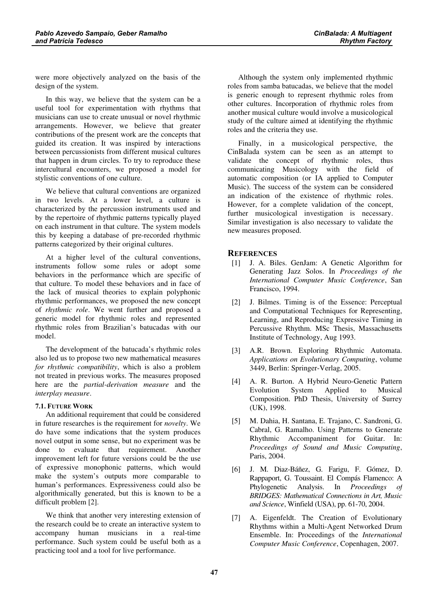were more objectively analyzed on the basis of the design of the system.

In this way, we believe that the system can be a useful tool for experimentation with rhythms that musicians can use to create unusual or novel rhythmic arrangements. However, we believe that greater contributions of the present work are the concepts that guided its creation. It was inspired by interactions between percussionists from different musical cultures that happen in drum circles. To try to reproduce these intercultural encounters, we proposed a model for stylistic conventions of one culture.

We believe that cultural conventions are organized in two levels. At a lower level, a culture is characterized by the percussion instruments used and by the repertoire of rhythmic patterns typically played on each instrument in that culture. The system models this by keeping a database of pre-recorded rhythmic patterns categorized by their original cultures.

At a higher level of the cultural conventions, instruments follow some rules or adopt some behaviors in the performance which are specific of that culture. To model these behaviors and in face of the lack of musical theories to explain polyphonic rhythmic performances, we proposed the new concept of *rhythmic role*. We went further and proposed a generic model for rhythmic roles and represented rhythmic roles from Brazilian's batucadas with our model.

The development of the batucada's rhythmic roles also led us to propose two new mathematical measures for rhythmic compatibility, which is also a problem not treated in previous works. The measures proposed here are the *partial-derivation measure* and the interplay measure.

#### 7.1. FUTURE WORK

An additional requirement that could be considered in future researches is the requirement for *novelty*. We do have some indications that the system produces novel output in some sense, but no experiment was be done to evaluate that requirement. Another improvement left for future versions could be the use of expressive monophonic patterns, which would make the system's outputs more comparable to human's performances. Expressiveness could also be algorithmically generated, but this is known to be a difficult problem [2].

We think that another very interesting extension of the research could be to create an interactive system to accompany human musicians in a real-time performance. Such system could be useful both as a practicing tool and a tool for live performance.

Although the system only implemented rhythmic roles from samba batucadas, we believe that the model is generic enough to represent rhythmic roles from other cultures. Incorporation of rhythmic roles from another musical culture would involve a musicological study of the culture aimed at identifying the rhythmic roles and the criteria they use.

Finally, in a musicological perspective, the CinBalada system can be seen as an attempt to validate the concept of rhythmic roles, thus communicating Musicology with the field of automatic composition (or IA applied to Computer Music). The success of the system can be considered an indication of the existence of rhythmic roles. However, for a complete validation of the concept, further musicological investigation is necessary. Similar investigation is also necessary to validate the new measures proposed.

# **REFERENCES**

- [1] J. A. Biles. GenJam: A Genetic Algorithm for Generating Jazz Solos. In Proceedings of the International Computer Music Conference, San Francisco, 1994.
- [2] J. Bilmes. Timing is of the Essence: Perceptual and Computational Techniques for Representing, Learning, and Reproducing Expressive Timing in Percussive Rhythm. MSc Thesis, Massachusetts Institute of Technology, Aug 1993.
- [3] A.R. Brown. Exploring Rhythmic Automata. Applications on Evolutionary Computing, volume 3449, Berlin: Springer-Verlag, 2005.
- [4] A. R. Burton. A Hybrid Neuro-Genetic Pattern Evolution System Applied to Musical Composition. PhD Thesis, University of Surrey (UK), 1998.
- [5] M. Dahia, H. Santana, E. Trajano, C. Sandroni, G. Cabral, G. Ramalho. Using Patterns to Generate Rhythmic Accompaniment for Guitar. In: Proceedings of Sound and Music Computing, Paris, 2004.
- [6] J. M. Diaz-Báñez, G. Farigu, F. Gómez, D. Rappaport, G. Toussaint. El Compás Flamenco: A Phylogenetic Analysis. In Proceedings of BRIDGES: Mathematical Connections in Art, Music and Science, Winfield (USA), pp. 61-70, 2004.
- [7] A. Eigenfeldt. The Creation of Evolutionary Rhythms within a Multi-Agent Networked Drum Ensemble. In: Proceedings of the International Computer Music Conference, Copenhagen, 2007.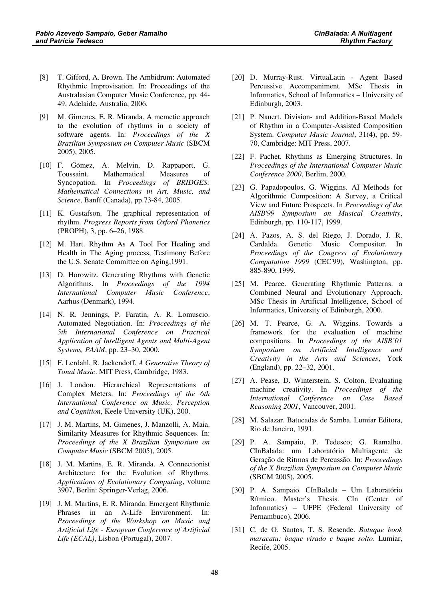- [8] T. Gifford, A. Brown. The Ambidrum: Automated Rhythmic Improvisation. In: Proceedings of the Australasian Computer Music Conference, pp. 44- 49, Adelaide, Australia, 2006.
- [9] M. Gimenes, E. R. Miranda. A memetic approach to the evolution of rhythms in a society of software agents. In: Proceedings of the X Brazilian Symposium on Computer Music (SBCM 2005), 2005.
- [10] F. Gómez, A. Melvin, D. Rappaport, G. Toussaint. Mathematical Measures of Syncopation. In Proceedings of BRIDGES: Mathematical Connections in Art, Music, and Science, Banff (Canada), pp.73-84, 2005.
- [11] K. Gustafson. The graphical representation of rhythm. Progress Reports from Oxford Phonetics (PROPH), 3, pp. 6–26, 1988.
- [12] M. Hart. Rhythm As A Tool For Healing and Health in The Aging process, Testimony Before the U.S. Senate Committee on Aging,1991.
- [13] D. Horowitz. Generating Rhythms with Genetic Algorithms. In Proceedings of the 1994 International Computer Music Conference, Aarhus (Denmark), 1994.
- [14] N. R. Jennings, P. Faratin, A. R. Lomuscio. Automated Negotiation. In: Proceedings of the 5th International Conference on Practical Application of Intelligent Agents and Multi-Agent Systems, PAAM, pp. 23-30, 2000.
- [15] F. Lerdahl, R. Jackendoff. A Generative Theory of Tonal Music. MIT Press, Cambridge, 1983.
- [16] J. London. Hierarchical Representations of Complex Meters. In: Proceedings of the 6th International Conference on Music, Perception and Cognition, Keele University (UK), 200.
- [17] J. M. Martins, M. Gimenes, J. Manzolli, A. Maia. Similarity Measures for Rhythmic Sequences. In: Proceedings of the X Brazilian Symposium on Computer Music (SBCM 2005), 2005.
- [18] J. M. Martins, E. R. Miranda. A Connectionist Architecture for the Evolution of Rhythms. Applications of Evolutionary Computing, volume 3907, Berlin: Springer-Verlag, 2006.
- [19] J. M. Martins, E. R. Miranda. Emergent Rhythmic Phrases in an A-Life Environment. In: Proceedings of the Workshop on Music and Artificial Life - European Conference of Artificial Life (ECAL), Lisbon (Portugal), 2007.
- [20] D. Murray-Rust. VirtuaLatin Agent Based Percussive Accompaniment. MSc Thesis in Informatics, School of Informatics – University of Edinburgh, 2003.
- [21] P. Nauert. Division- and Addition-Based Models of Rhythm in a Computer-Assisted Composition System. Computer Music Journal, 31(4), pp. 59-70, Cambridge: MIT Press, 2007.
- [22] F. Pachet. Rhythms as Emerging Structures. In Proceedings of the International Computer Music Conference 2000, Berlim, 2000.
- [23] G. Papadopoulos, G. Wiggins. AI Methods for Algorithmic Composition: A Survey, a Critical View and Future Prospects. In Proceedings of the AISB'99 Symposium on Musical Creativity, Edinburgh, pp. 110-117, 1999.
- [24] A. Pazos, A. S. del Riego, J. Dorado, J. R. Cardalda. Genetic Music Compositor. In Proceedings of the Congress of Evolutionary Computation 1999 (CEC'99), Washington, pp. 885-890, 1999.
- [25] M. Pearce. Generating Rhythmic Patterns: a Combined Neural and Evolutionary Approach. MSc Thesis in Artificial Intelligence, School of Informatics, University of Edinburgh, 2000.
- [26] M. T. Pearce, G. A. Wiggins. Towards a framework for the evaluation of machine compositions. In Proceedings of the AISB'01 Symposium on Artificial Intelligence and Creativity in the Arts and Sciences, York (England), pp. 22–32, 2001.
- [27] A. Pease, D. Winterstein, S. Colton. Evaluating machine creativity. In Proceedings of the International Conference on Case Based Reasoning 2001, Vancouver, 2001.
- [28] M. Salazar. Batucadas de Samba. Lumiar Editora, Rio de Janeiro, 1991.
- [29] P. A. Sampaio, P. Tedesco; G. Ramalho. CInBalada: um Laboratório Multiagente de Geração de Ritmos de Percussão. In: Proceedings of the X Brazilian Symposium on Computer Music (SBCM 2005), 2005.
- [30] P. A. Sampaio. CInBalada Um Laboratório Rítmico. Master's Thesis. CIn (Center of Informatics) – UFPE (Federal University of Pernambuco), 2006.
- [31] C. de O. Santos, T. S. Resende. Batuque book maracatu: baque virado e baque solto. Lumiar, Recife, 2005.